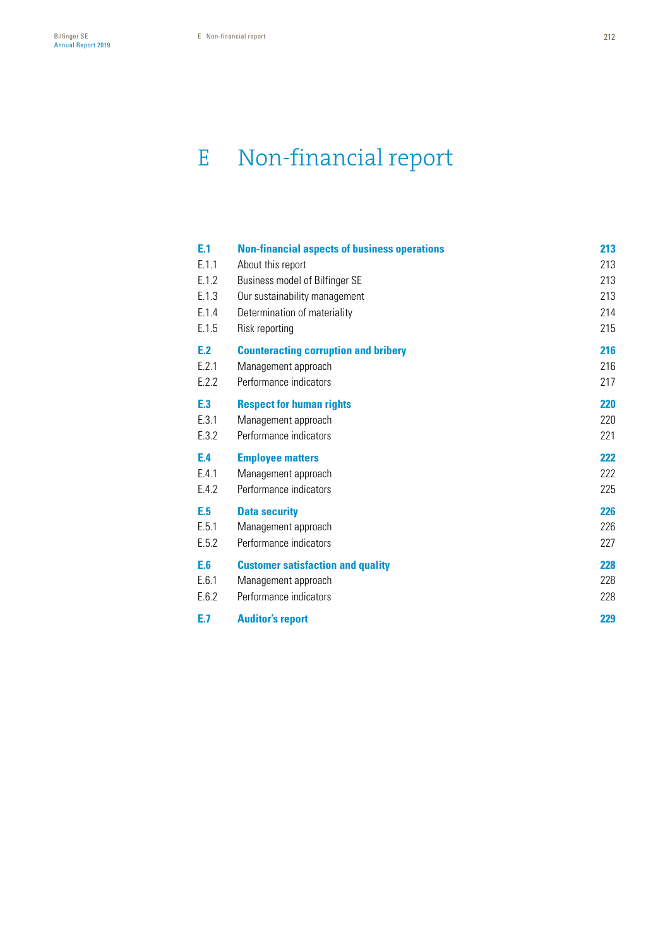# E Non-financial report

| E.1   | <b>Non-financial aspects of business operations</b> | 213 |
|-------|-----------------------------------------------------|-----|
| E.1.1 | About this report                                   | 213 |
| E.1.2 | Business model of Bilfinger SE                      | 213 |
| E.1.3 |                                                     |     |
|       | Our sustainability management                       | 213 |
| E.1.4 | Determination of materiality                        | 214 |
| E.1.5 | Risk reporting                                      | 215 |
| E.2   | <b>Counteracting corruption and bribery</b>         | 216 |
| E.2.1 | Management approach                                 | 216 |
| E.2.2 | Performance indicators                              | 217 |
| E.3   | <b>Respect for human rights</b>                     | 220 |
| E.3.1 | Management approach                                 | 220 |
| E.3.2 | Performance indicators                              | 221 |
| E.4   | <b>Employee matters</b>                             | 222 |
| E.4.1 | Management approach                                 | 222 |
| E.4.2 | Performance indicators                              | 225 |
|       |                                                     |     |
| E.5   | <b>Data security</b>                                | 226 |
| E.5.1 | Management approach                                 | 226 |
| E.5.2 | Performance indicators                              | 227 |
| E.6   | <b>Customer satisfaction and quality</b>            | 228 |
| E.6.1 | Management approach                                 | 228 |
| E.6.2 | Performance indicators                              | 228 |
| E.7   | <b>Auditor's report</b>                             | 229 |
|       |                                                     |     |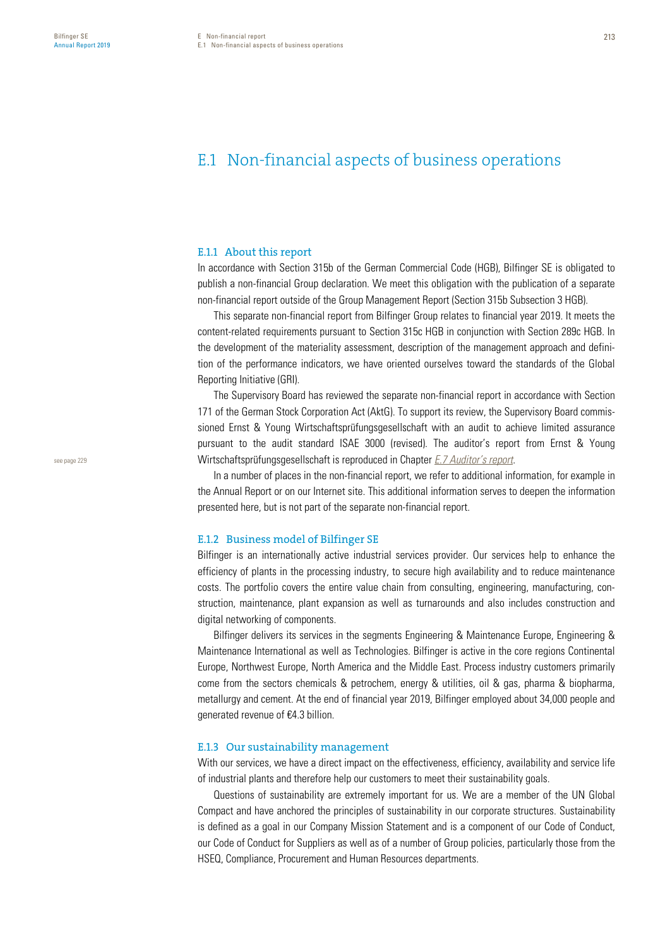# E.1 Non-financial aspects of business operations

#### E.1.1 About this report

In accordance with Section 315b of the German Commercial Code (HGB), Bilfinger SE is obligated to publish a non-financial Group declaration. We meet this obligation with the publication of a separate non-financial report outside of the Group Management Report (Section 315b Subsection 3 HGB).

This separate non-financial report from Bilfinger Group relates to financial year 2019. It meets the content-related requirements pursuant to Section 315c HGB in conjunction with Section 289c HGB. In the development of the materiality assessment, description of the management approach and definition of the performance indicators, we have oriented ourselves toward the standards of the Global Reporting Initiative (GRI).

The Supervisory Board has reviewed the separate non-financial report in accordance with Section 171 of the German Stock Corporation Act (AktG). To support its review, the Supervisory Board commissioned Ernst & Young Wirtschaftsprüfungsgesellschaft with an audit to achieve limited assurance pursuant to the audit standard ISAE 3000 (revised). The auditor's report from Ernst & Young Wirtschaftsprüfungsgesellschaft is reproduced in Chapter *E.7 Auditor's report*.

In a number of places in the non-financial report, we refer to additional information, for example in the Annual Report or on our Internet site. This additional information serves to deepen the information presented here, but is not part of the separate non-financial report.

#### E.1.2 Business model of Bilfinger SE

Bilfinger is an internationally active industrial services provider. Our services help to enhance the efficiency of plants in the processing industry, to secure high availability and to reduce maintenance costs. The portfolio covers the entire value chain from consulting, engineering, manufacturing, construction, maintenance, plant expansion as well as turnarounds and also includes construction and digital networking of components.

Bilfinger delivers its services in the segments Engineering & Maintenance Europe, Engineering & Maintenance International as well as Technologies. Bilfinger is active in the core regions Continental Europe, Northwest Europe, North America and the Middle East. Process industry customers primarily come from the sectors chemicals & petrochem, energy & utilities, oil & gas, pharma & biopharma, metallurgy and cement. At the end of financial year 2019, Bilfinger employed about 34,000 people and generated revenue of €4.3 billion.

#### E.1.3 Our sustainability management

With our services, we have a direct impact on the effectiveness, efficiency, availability and service life of industrial plants and therefore help our customers to meet their sustainability goals.

Questions of sustainability are extremely important for us. We are a member of the UN Global Compact and have anchored the principles of sustainability in our corporate structures. Sustainability is defined as a goal in our Company Mission Statement and is a component of our Code of Conduct, our Code of Conduct for Suppliers as well as of a number of Group policies, particularly those from the HSEQ, Compliance, Procurement and Human Resources departments.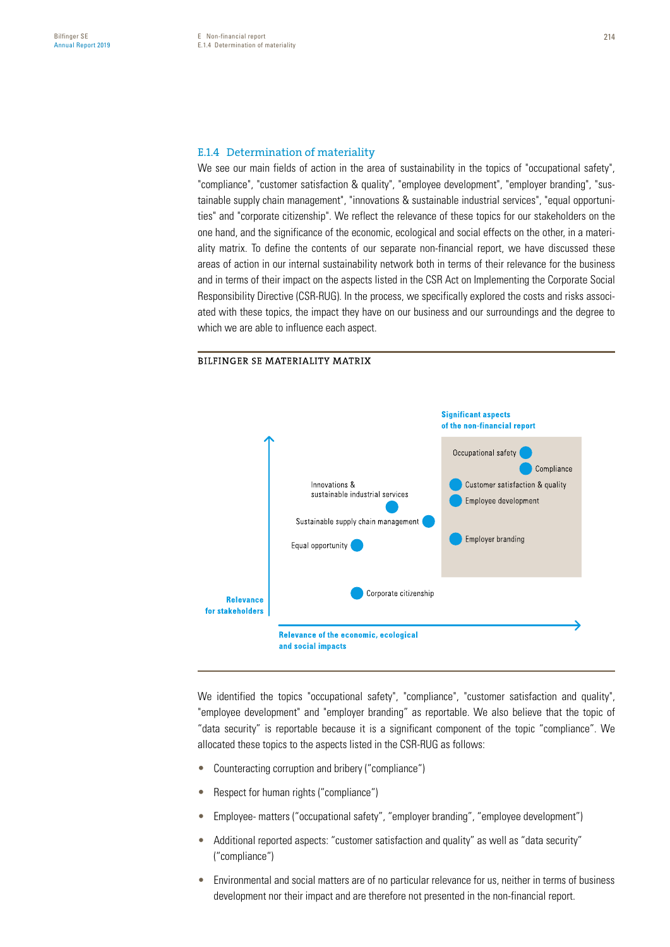#### E.1.4 Determination of materiality

We see our main fields of action in the area of sustainability in the topics of "occupational safety", "compliance", "customer satisfaction & quality", "employee development", "employer branding", "sustainable supply chain management", "innovations & sustainable industrial services", "equal opportunities" and "corporate citizenship". We reflect the relevance of these topics for our stakeholders on the one hand, and the significance of the economic, ecological and social effects on the other, in a materiality matrix. To define the contents of our separate non-financial report, we have discussed these areas of action in our internal sustainability network both in terms of their relevance for the business and in terms of their impact on the aspects listed in the CSR Act on Implementing the Corporate Social Responsibility Directive (CSR-RUG). In the process, we specifically explored the costs and risks associated with these topics, the impact they have on our business and our surroundings and the degree to which we are able to influence each aspect.

#### BILFINGER SE MATERIALITY MATRIX



We identified the topics "occupational safety", "compliance", "customer satisfaction and quality", "employee development" and "employer branding" as reportable. We also believe that the topic of "data security" is reportable because it is a significant component of the topic "compliance". We allocated these topics to the aspects listed in the CSR-RUG as follows:

- Counteracting corruption and bribery ("compliance")
- Respect for human rights ("compliance")
- Employee- matters ("occupational safety", "employer branding", "employee development")
- Additional reported aspects: "customer satisfaction and quality" as well as "data security" ("compliance")
- Environmental and social matters are of no particular relevance for us, neither in terms of business development nor their impact and are therefore not presented in the non-financial report.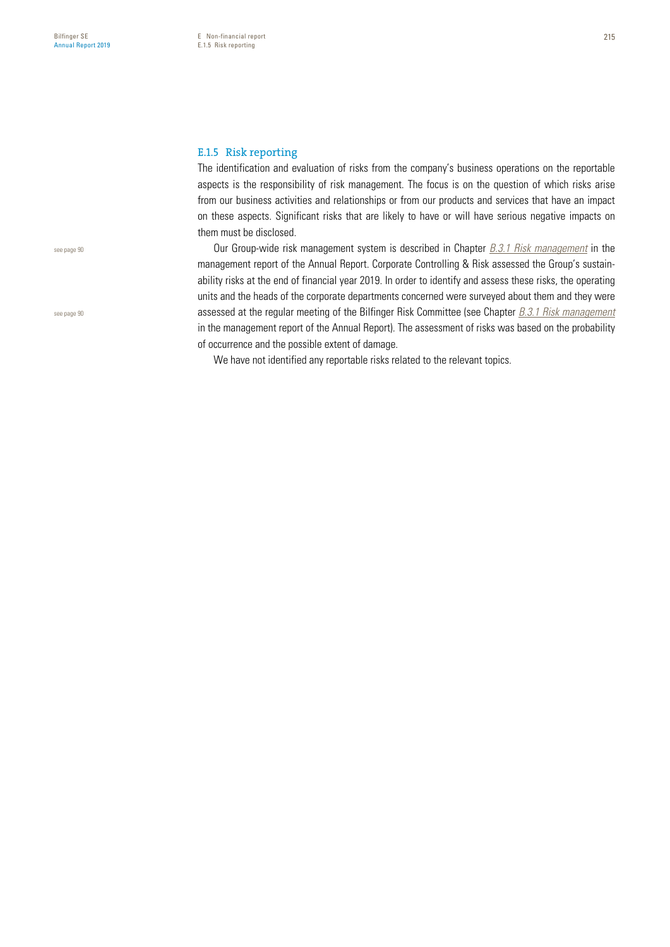#### E.1.5 Risk reporting

The identification and evaluation of risks from the company's business operations on the reportable aspects is the responsibility of risk management. The focus is on the question of which risks arise from our business activities and relationships or from our products and services that have an impact on these aspects. Significant risks that are likely to have or will have serious negative impacts on them must be disclosed.

Our Group-wide risk management system is described in Chapter *B.3.1 Risk management* in the management report of the Annual Report. Corporate Controlling & Risk assessed the Group's sustainability risks at the end of financial year 2019. In order to identify and assess these risks, the operating units and the heads of the corporate departments concerned were surveyed about them and they were assessed at the regular meeting of the Bilfinger Risk Committee (see Chapter *B.3.1 Risk management* in the management report of the Annual Report). The assessment of risks was based on the probability of occurrence and the possible extent of damage.

We have not identified any reportable risks related to the relevant topics.

see page 90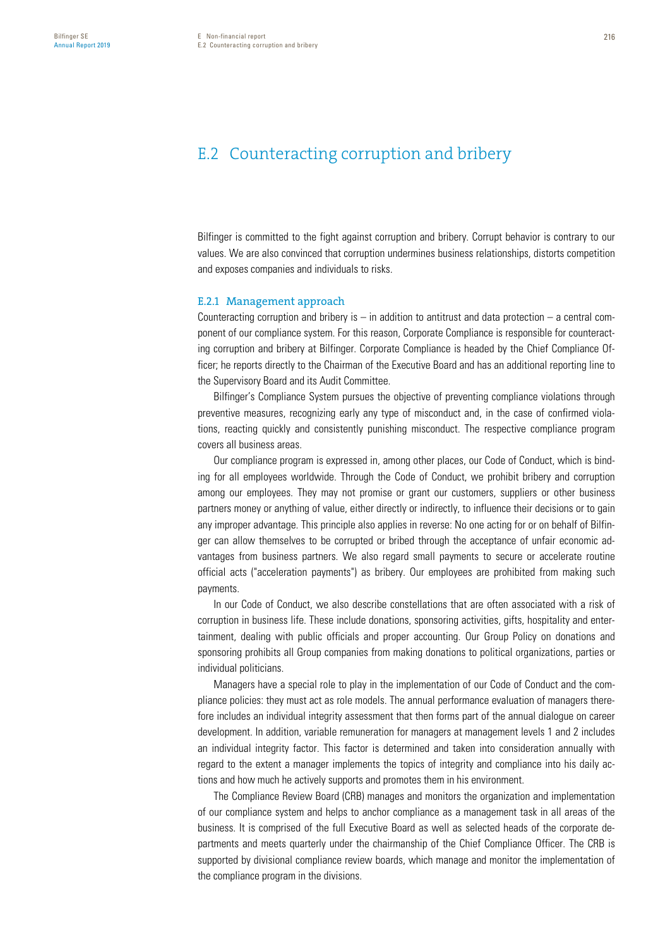# E.2 Counteracting corruption and bribery

Bilfinger is committed to the fight against corruption and bribery. Corrupt behavior is contrary to our values. We are also convinced that corruption undermines business relationships, distorts competition and exposes companies and individuals to risks.

#### E.2.1 Management approach

Counteracting corruption and bribery is  $-$  in addition to antitrust and data protection  $-$  a central component of our compliance system. For this reason, Corporate Compliance is responsible for counteracting corruption and bribery at Bilfinger. Corporate Compliance is headed by the Chief Compliance Officer; he reports directly to the Chairman of the Executive Board and has an additional reporting line to the Supervisory Board and its Audit Committee.

Bilfinger's Compliance System pursues the objective of preventing compliance violations through preventive measures, recognizing early any type of misconduct and, in the case of confirmed violations, reacting quickly and consistently punishing misconduct. The respective compliance program covers all business areas.

Our compliance program is expressed in, among other places, our Code of Conduct, which is binding for all employees worldwide. Through the Code of Conduct, we prohibit bribery and corruption among our employees. They may not promise or grant our customers, suppliers or other business partners money or anything of value, either directly or indirectly, to influence their decisions or to gain any improper advantage. This principle also applies in reverse: No one acting for or on behalf of Bilfinger can allow themselves to be corrupted or bribed through the acceptance of unfair economic advantages from business partners. We also regard small payments to secure or accelerate routine official acts ("acceleration payments") as bribery. Our employees are prohibited from making such payments.

In our Code of Conduct, we also describe constellations that are often associated with a risk of corruption in business life. These include donations, sponsoring activities, gifts, hospitality and entertainment, dealing with public officials and proper accounting. Our Group Policy on donations and sponsoring prohibits all Group companies from making donations to political organizations, parties or individual politicians.

Managers have a special role to play in the implementation of our Code of Conduct and the compliance policies: they must act as role models. The annual performance evaluation of managers therefore includes an individual integrity assessment that then forms part of the annual dialogue on career development. In addition, variable remuneration for managers at management levels 1 and 2 includes an individual integrity factor. This factor is determined and taken into consideration annually with regard to the extent a manager implements the topics of integrity and compliance into his daily actions and how much he actively supports and promotes them in his environment.

The Compliance Review Board (CRB) manages and monitors the organization and implementation of our compliance system and helps to anchor compliance as a management task in all areas of the business. It is comprised of the full Executive Board as well as selected heads of the corporate departments and meets quarterly under the chairmanship of the Chief Compliance Officer. The CRB is supported by divisional compliance review boards, which manage and monitor the implementation of the compliance program in the divisions.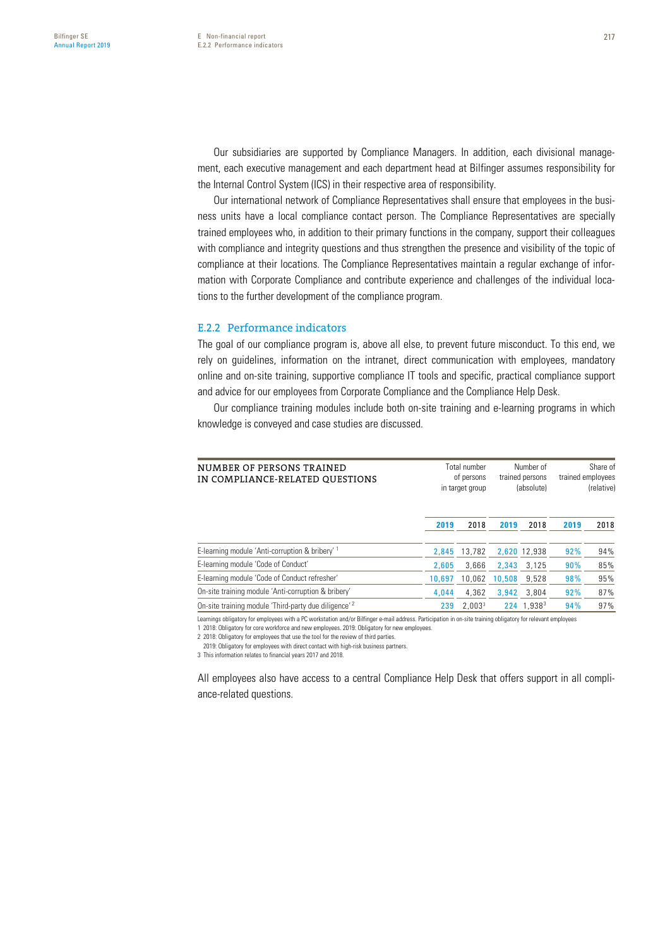Our subsidiaries are supported by Compliance Managers. In addition, each divisional management, each executive management and each department head at Bilfinger assumes responsibility for the Internal Control System (ICS) in their respective area of responsibility.

Our international network of Compliance Representatives shall ensure that employees in the business units have a local compliance contact person. The Compliance Representatives are specially trained employees who, in addition to their primary functions in the company, support their colleagues with compliance and integrity questions and thus strengthen the presence and visibility of the topic of compliance at their locations. The Compliance Representatives maintain a regular exchange of information with Corporate Compliance and contribute experience and challenges of the individual locations to the further development of the compliance program.

#### E.2.2 Performance indicators

The goal of our compliance program is, above all else, to prevent future misconduct. To this end, we rely on guidelines, information on the intranet, direct communication with employees, mandatory online and on-site training, supportive compliance IT tools and specific, practical compliance support and advice for our employees from Corporate Compliance and the Compliance Help Desk.

Our compliance training modules include both on-site training and e-learning programs in which knowledge is conveyed and case studies are discussed.

| Total number<br>of persons<br>in target group |                    | Number of<br>trained persons<br>(absolute) |       | Share of<br>trained employees<br>(relative)                       |                                                                                                                                                              |
|-----------------------------------------------|--------------------|--------------------------------------------|-------|-------------------------------------------------------------------|--------------------------------------------------------------------------------------------------------------------------------------------------------------|
| 2019                                          | 2018               | 2019                                       | 2018  | 2019                                                              | 2018                                                                                                                                                         |
| 2.845                                         | 13.782             |                                            |       | 92%                                                               | 94%                                                                                                                                                          |
| 2.605                                         | 3.666              |                                            |       | 90%                                                               | 85%                                                                                                                                                          |
| 10.697                                        | 10.062             |                                            | 9.528 | 98%                                                               | 95%                                                                                                                                                          |
| 4.044                                         | 4.362              | 3.942                                      | 3.804 | 92%                                                               | 87%                                                                                                                                                          |
| 239                                           | 2.003 <sup>3</sup> |                                            |       | 94%                                                               | 97%                                                                                                                                                          |
|                                               |                    |                                            |       | 2,620 12,938<br>2.343 3.125<br>10.508<br>$224$ 1.938 <sup>3</sup> | earnings obligatory for employees with a PC workstation and/or Rilfinger e-mail address. Participation in on-site training obligatory for relevant employees |

Learnings obligatory for employees with a PC workstation and/or Bilfinger e-mail address. Participation in on-site training obligatory for relevant employees

1 2018: Obligatory for core workforce and new employees. 2019: Obligatory for new employees. 2 2018: Obligatory for employees that use the tool for the review of third parties.

2019: Obligatory for employees with direct contact with high-risk business partners.

3 This information relates to financial years 2017 and 2018.

All employees also have access to a central Compliance Help Desk that offers support in all compliance-related questions.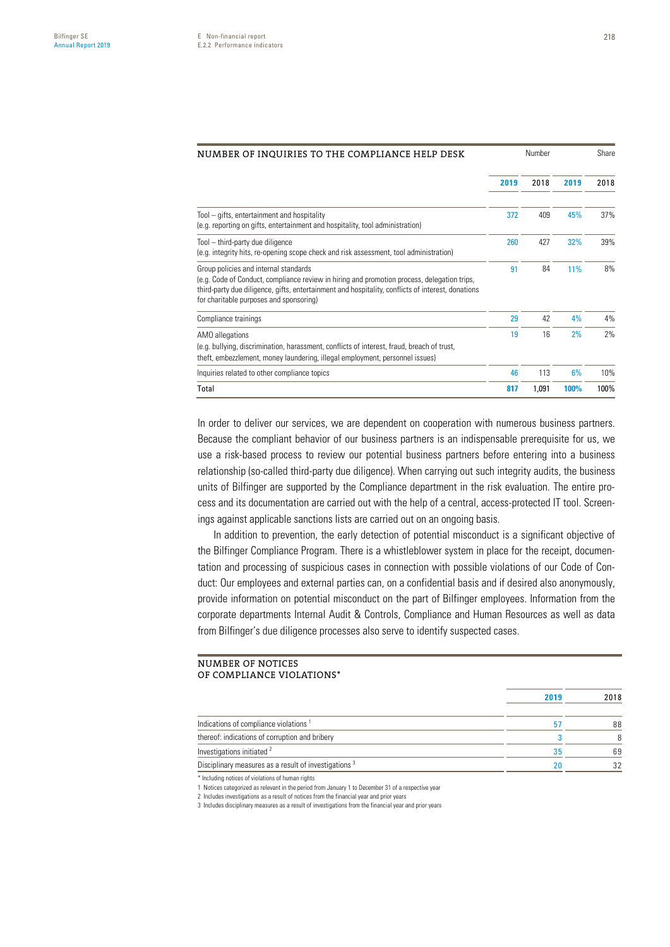| NUMBER OF INQUIRIES TO THE COMPLIANCE HELP DESK                                                                                                                                                                                                                                      | Number |       | Share       |      |
|--------------------------------------------------------------------------------------------------------------------------------------------------------------------------------------------------------------------------------------------------------------------------------------|--------|-------|-------------|------|
|                                                                                                                                                                                                                                                                                      | 2019   | 2018  | 2019        | 2018 |
| Tool - gifts, entertainment and hospitality<br>(e.g. reporting on gifts, entertainment and hospitality, tool administration)                                                                                                                                                         | 372    | 409   | 45%         | 37%  |
| Tool - third-party due diligence<br>(e.g. integrity hits, re-opening scope check and risk assessment, tool administration)                                                                                                                                                           | 260    | 427   | 32%         | 39%  |
| Group policies and internal standards<br>(e.g. Code of Conduct, compliance review in hiring and promotion process, delegation trips,<br>third-party due diligence, gifts, entertainment and hospitality, conflicts of interest, donations<br>for charitable purposes and sponsoring) | 91     | 84    | 11%         | 8%   |
| Compliance trainings                                                                                                                                                                                                                                                                 | 29     | 42    | 4%          | 4%   |
| AMO allegations<br>(e.g. bullying, discrimination, harassment, conflicts of interest, fraud, breach of trust,<br>theft, embezzlement, money laundering, illegal employment, personnel issues)                                                                                        | 19     | 16    | 2%          | 2%   |
| Inquiries related to other compliance topics                                                                                                                                                                                                                                         | 46     | 113   | 6%          | 10%  |
| Total                                                                                                                                                                                                                                                                                | 817    | 1.091 | <b>100%</b> | 100% |

218

In order to deliver our services, we are dependent on cooperation with numerous business partners. Because the compliant behavior of our business partners is an indispensable prerequisite for us, we use a risk-based process to review our potential business partners before entering into a business relationship (so-called third-party due diligence). When carrying out such integrity audits, the business units of Bilfinger are supported by the Compliance department in the risk evaluation. The entire process and its documentation are carried out with the help of a central, access-protected IT tool. Screenings against applicable sanctions lists are carried out on an ongoing basis.

In addition to prevention, the early detection of potential misconduct is a significant objective of the Bilfinger Compliance Program. There is a whistleblower system in place for the receipt, documentation and processing of suspicious cases in connection with possible violations of our Code of Conduct: Our employees and external parties can, on a confidential basis and if desired also anonymously, provide information on potential misconduct on the part of Bilfinger employees. Information from the corporate departments Internal Audit & Controls, Compliance and Human Resources as well as data from Bilfinger's due diligence processes also serve to identify suspected cases.

#### NUMBER OF NOTICES OF COMPLIANCE VIOLATIONS\*

|                                                                  | 2019 | 2018 |
|------------------------------------------------------------------|------|------|
|                                                                  |      |      |
| Indications of compliance violations <sup>1</sup>                |      | 88   |
| thereof: indications of corruption and bribery                   |      |      |
| Investigations initiated <sup>2</sup>                            | 35   | 69   |
| Disciplinary measures as a result of investigations <sup>3</sup> | 20   | 32   |
|                                                                  |      |      |

\* Including notices of violations of human rights

1 Notices categorized as relevant in the period from January 1 to December 31 of a respective year 2 Includes investigations as a result of notices from the financial year and prior years

3 Includes disciplinary measures as a result of investigations from the financial year and prior years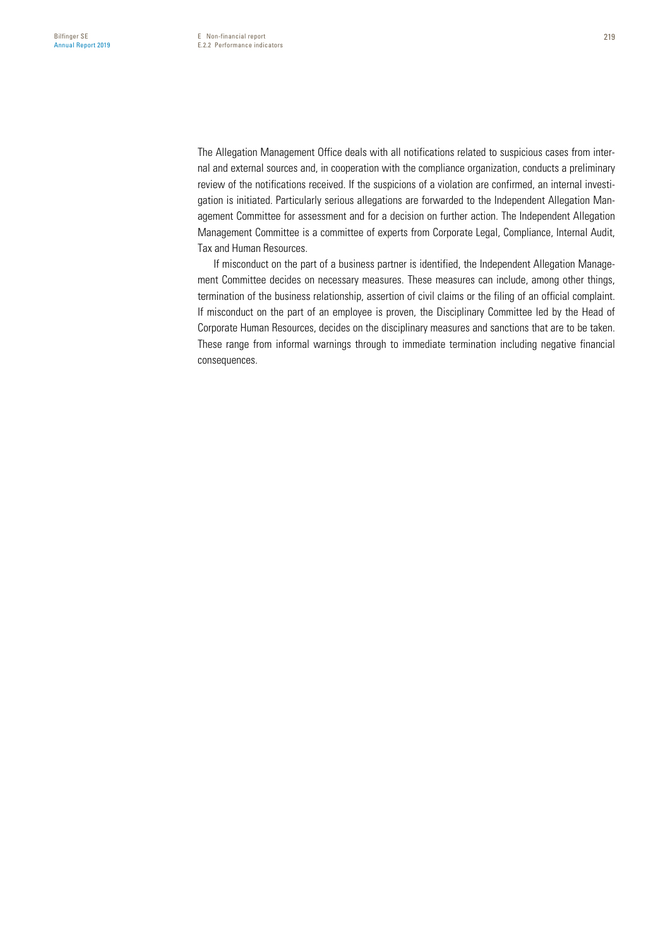The Allegation Management Office deals with all notifications related to suspicious cases from internal and external sources and, in cooperation with the compliance organization, conducts a preliminary review of the notifications received. If the suspicions of a violation are confirmed, an internal investigation is initiated. Particularly serious allegations are forwarded to the Independent Allegation Management Committee for assessment and for a decision on further action. The Independent Allegation Management Committee is a committee of experts from Corporate Legal, Compliance, Internal Audit, Tax and Human Resources.

If misconduct on the part of a business partner is identified, the Independent Allegation Management Committee decides on necessary measures. These measures can include, among other things, termination of the business relationship, assertion of civil claims or the filing of an official complaint. If misconduct on the part of an employee is proven, the Disciplinary Committee led by the Head of Corporate Human Resources, decides on the disciplinary measures and sanctions that are to be taken. These range from informal warnings through to immediate termination including negative financial consequences.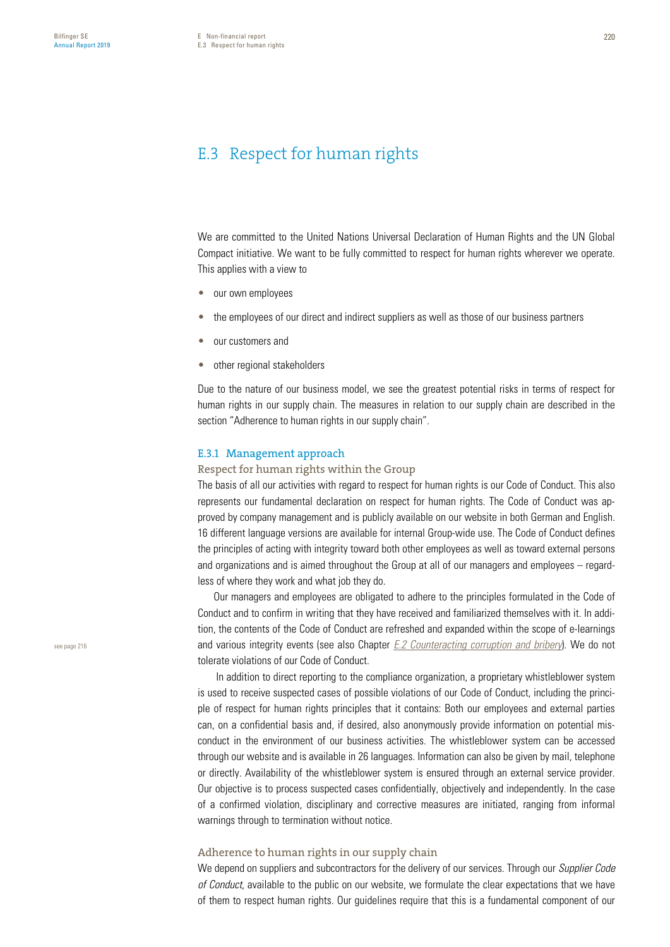## E.3 Respect for human rights

We are committed to the United Nations Universal Declaration of Human Rights and the UN Global Compact initiative. We want to be fully committed to respect for human rights wherever we operate. This applies with a view to

- our own employees
- the employees of our direct and indirect suppliers as well as those of our business partners
- our customers and
- other regional stakeholders

Due to the nature of our business model, we see the greatest potential risks in terms of respect for human rights in our supply chain. The measures in relation to our supply chain are described in the section "Adherence to human rights in our supply chain".

#### E.3.1 Management approach

#### Respect for human rights within the Group

The basis of all our activities with regard to respect for human rights is our Code of Conduct. This also represents our fundamental declaration on respect for human rights. The Code of Conduct was approved by company management and is publicly available on our website in both German and English. 16 different language versions are available for internal Group-wide use. The Code of Conduct defines the principles of acting with integrity toward both other employees as well as toward external persons and organizations and is aimed throughout the Group at all of our managers and employees – regardless of where they work and what job they do.

Our managers and employees are obligated to adhere to the principles formulated in the Code of Conduct and to confirm in writing that they have received and familiarized themselves with it. In addition, the contents of the Code of Conduct are refreshed and expanded within the scope of e-learnings and various integrity events (see also Chapter *E.2 Counteracting corruption and bribery*). We do not tolerate violations of our Code of Conduct.

In addition to direct reporting to the compliance organization, a proprietary whistleblower system is used to receive suspected cases of possible violations of our Code of Conduct, including the principle of respect for human rights principles that it contains: Both our employees and external parties can, on a confidential basis and, if desired, also anonymously provide information on potential misconduct in the environment of our business activities. The whistleblower system can be accessed through our website and is available in 26 languages. Information can also be given by mail, telephone or directly. Availability of the whistleblower system is ensured through an external service provider. Our objective is to process suspected cases confidentially, objectively and independently. In the case of a confirmed violation, disciplinary and corrective measures are initiated, ranging from informal warnings through to termination without notice.

#### Adherence to human rights in our supply chain

We depend on suppliers and subcontractors for the delivery of our services. Through our *Supplier Code of Conduct*, available to the public on our website, we formulate the clear expectations that we have of them to respect human rights. Our guidelines require that this is a fundamental component of our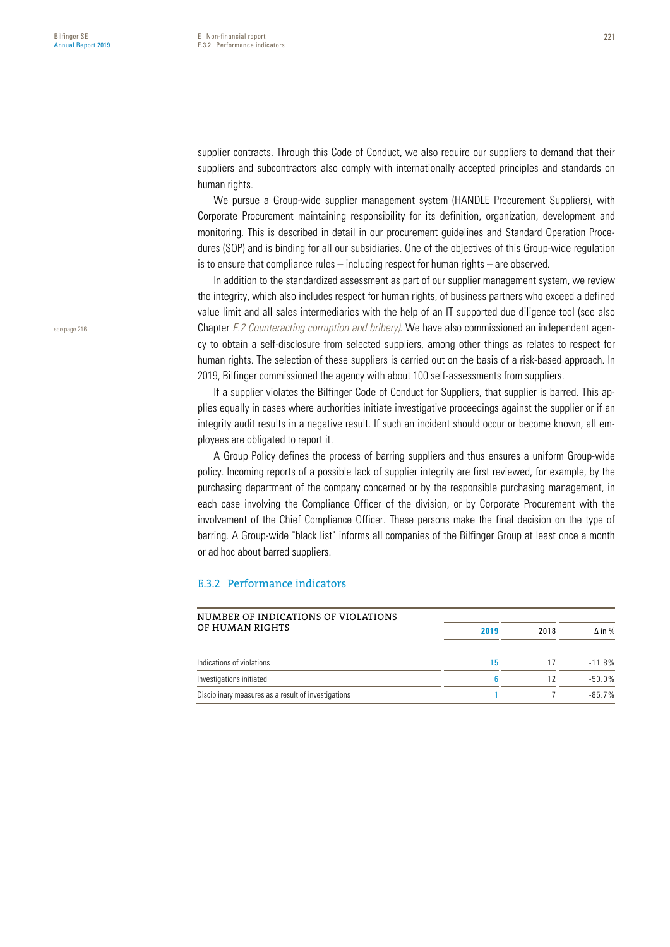supplier contracts. Through this Code of Conduct, we also require our suppliers to demand that their suppliers and subcontractors also comply with internationally accepted principles and standards on human rights.

We pursue a Group-wide supplier management system (HANDLE Procurement Suppliers), with Corporate Procurement maintaining responsibility for its definition, organization, development and monitoring. This is described in detail in our procurement guidelines and Standard Operation Procedures (SOP) and is binding for all our subsidiaries. One of the objectives of this Group-wide regulation is to ensure that compliance rules – including respect for human rights – are observed.

In addition to the standardized assessment as part of our supplier management system, we review the integrity, which also includes respect for human rights, of business partners who exceed a defined value limit and all sales intermediaries with the help of an IT supported due diligence tool (see also Chapter *E.2 Counteracting corruption and bribery)*. We have also commissioned an independent agency to obtain a self-disclosure from selected suppliers, among other things as relates to respect for human rights. The selection of these suppliers is carried out on the basis of a risk-based approach. In 2019, Bilfinger commissioned the agency with about 100 self-assessments from suppliers.

If a supplier violates the Bilfinger Code of Conduct for Suppliers, that supplier is barred. This applies equally in cases where authorities initiate investigative proceedings against the supplier or if an integrity audit results in a negative result. If such an incident should occur or become known, all employees are obligated to report it.

A Group Policy defines the process of barring suppliers and thus ensures a uniform Group-wide policy. Incoming reports of a possible lack of supplier integrity are first reviewed, for example, by the purchasing department of the company concerned or by the responsible purchasing management, in each case involving the Compliance Officer of the division, or by Corporate Procurement with the involvement of the Chief Compliance Officer. These persons make the final decision on the type of barring. A Group-wide "black list" informs all companies of the Bilfinger Group at least once a month or ad hoc about barred suppliers.

#### E.3.2 Performance indicators

| NUMBER OF INDICATIONS OF VIOLATIONS                 |      |      |               |
|-----------------------------------------------------|------|------|---------------|
| OF HUMAN RIGHTS                                     | 2019 | 2018 | $\Delta$ in % |
|                                                     |      |      |               |
| Indications of violations                           | 15   | 17   | $-11.8%$      |
| Investigations initiated                            | 6    | 12   | $-50.0%$      |
| Disciplinary measures as a result of investigations |      |      | $-85.7%$      |

 $221$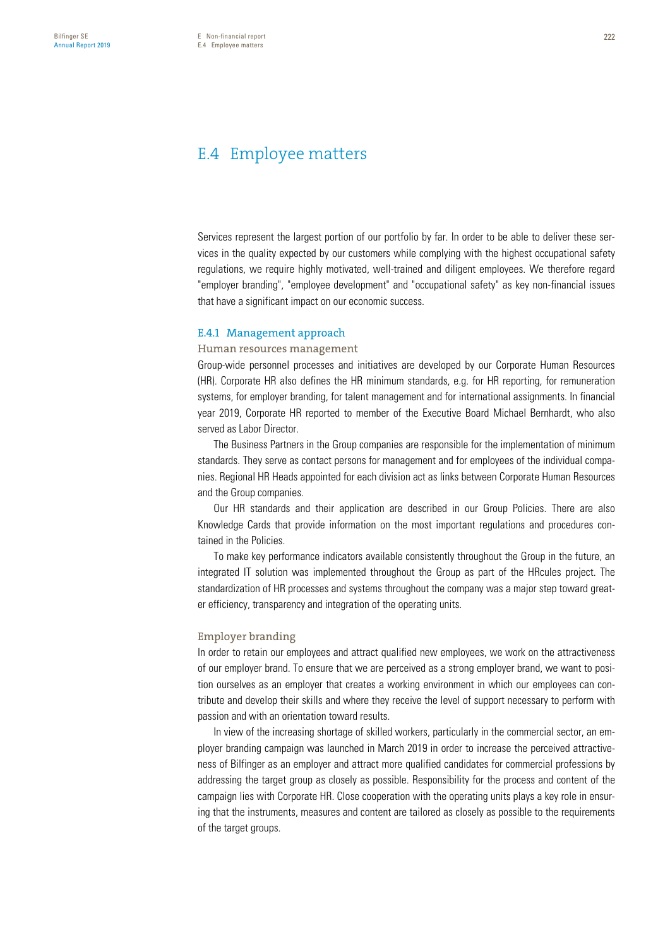### E.4 Employee matters

Services represent the largest portion of our portfolio by far. In order to be able to deliver these services in the quality expected by our customers while complying with the highest occupational safety regulations, we require highly motivated, well-trained and diligent employees. We therefore regard "employer branding", "employee development" and "occupational safety" as key non-financial issues that have a significant impact on our economic success.

#### E.4.1 Management approach

#### Human resources management

Group-wide personnel processes and initiatives are developed by our Corporate Human Resources (HR). Corporate HR also defines the HR minimum standards, e.g. for HR reporting, for remuneration systems, for employer branding, for talent management and for international assignments. In financial year 2019, Corporate HR reported to member of the Executive Board Michael Bernhardt, who also served as Labor Director.

The Business Partners in the Group companies are responsible for the implementation of minimum standards. They serve as contact persons for management and for employees of the individual companies. Regional HR Heads appointed for each division act as links between Corporate Human Resources and the Group companies.

Our HR standards and their application are described in our Group Policies. There are also Knowledge Cards that provide information on the most important regulations and procedures contained in the Policies.

To make key performance indicators available consistently throughout the Group in the future, an integrated IT solution was implemented throughout the Group as part of the HRcules project. The standardization of HR processes and systems throughout the company was a major step toward greater efficiency, transparency and integration of the operating units.

#### Employer branding

In order to retain our employees and attract qualified new employees, we work on the attractiveness of our employer brand. To ensure that we are perceived as a strong employer brand, we want to position ourselves as an employer that creates a working environment in which our employees can contribute and develop their skills and where they receive the level of support necessary to perform with passion and with an orientation toward results.

In view of the increasing shortage of skilled workers, particularly in the commercial sector, an employer branding campaign was launched in March 2019 in order to increase the perceived attractiveness of Bilfinger as an employer and attract more qualified candidates for commercial professions by addressing the target group as closely as possible. Responsibility for the process and content of the campaign lies with Corporate HR. Close cooperation with the operating units plays a key role in ensuring that the instruments, measures and content are tailored as closely as possible to the requirements of the target groups.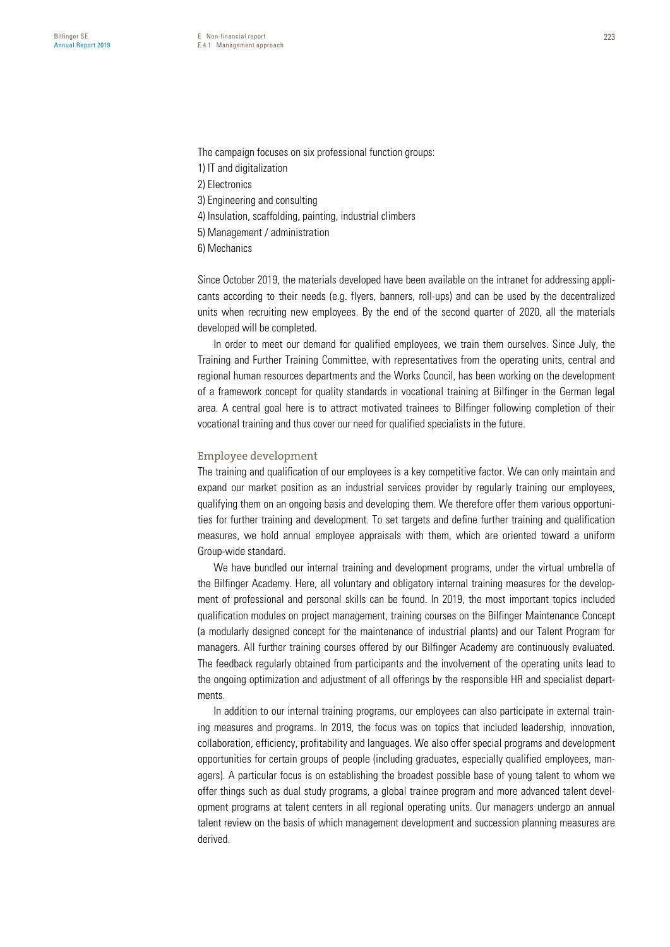The campaign focuses on six professional function groups:

- 1) IT and digitalization
- 2) Electronics
- 3) Engineering and consulting
- 4) Insulation, scaffolding, painting, industrial climbers
- 5) Management / administration
- 6) Mechanics

Since October 2019, the materials developed have been available on the intranet for addressing applicants according to their needs (e.g. flyers, banners, roll-ups) and can be used by the decentralized units when recruiting new employees. By the end of the second quarter of 2020, all the materials developed will be completed.

In order to meet our demand for qualified employees, we train them ourselves. Since July, the Training and Further Training Committee, with representatives from the operating units, central and regional human resources departments and the Works Council, has been working on the development of a framework concept for quality standards in vocational training at Bilfinger in the German legal area. A central goal here is to attract motivated trainees to Bilfinger following completion of their vocational training and thus cover our need for qualified specialists in the future.

#### Employee development

The training and qualification of our employees is a key competitive factor. We can only maintain and expand our market position as an industrial services provider by regularly training our employees, qualifying them on an ongoing basis and developing them. We therefore offer them various opportunities for further training and development. To set targets and define further training and qualification measures, we hold annual employee appraisals with them, which are oriented toward a uniform Group-wide standard.

We have bundled our internal training and development programs, under the virtual umbrella of the Bilfinger Academy. Here, all voluntary and obligatory internal training measures for the development of professional and personal skills can be found. In 2019, the most important topics included qualification modules on project management, training courses on the Bilfinger Maintenance Concept (a modularly designed concept for the maintenance of industrial plants) and our Talent Program for managers. All further training courses offered by our Bilfinger Academy are continuously evaluated. The feedback regularly obtained from participants and the involvement of the operating units lead to the ongoing optimization and adjustment of all offerings by the responsible HR and specialist departments.

In addition to our internal training programs, our employees can also participate in external training measures and programs. In 2019, the focus was on topics that included leadership, innovation, collaboration, efficiency, profitability and languages. We also offer special programs and development opportunities for certain groups of people (including graduates, especially qualified employees, managers). A particular focus is on establishing the broadest possible base of young talent to whom we offer things such as dual study programs, a global trainee program and more advanced talent development programs at talent centers in all regional operating units. Our managers undergo an annual talent review on the basis of which management development and succession planning measures are derived.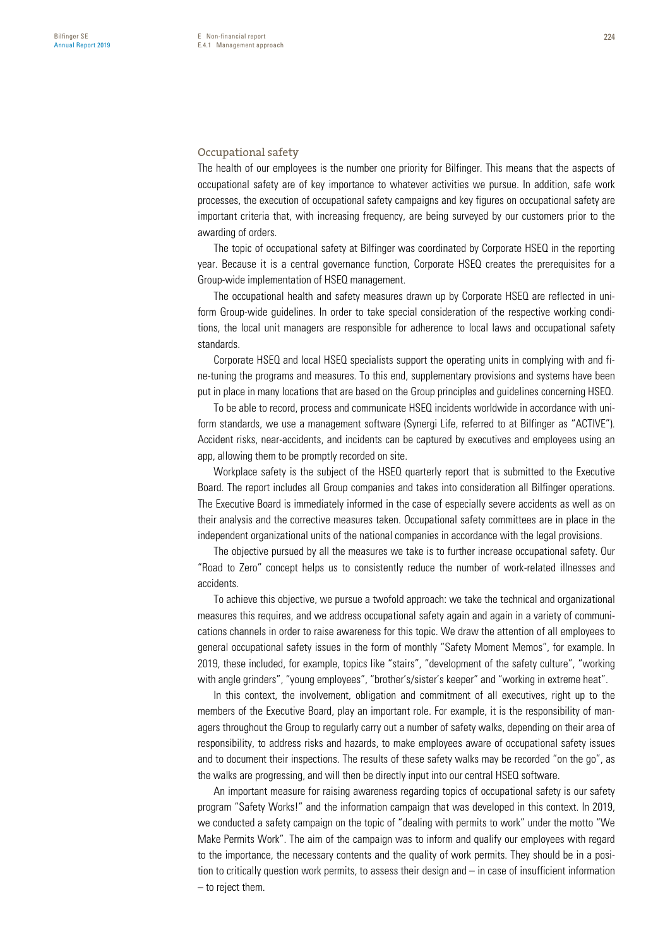#### Occupational safety

The health of our employees is the number one priority for Bilfinger. This means that the aspects of occupational safety are of key importance to whatever activities we pursue. In addition, safe work processes, the execution of occupational safety campaigns and key figures on occupational safety are important criteria that, with increasing frequency, are being surveyed by our customers prior to the awarding of orders.

The topic of occupational safety at Bilfinger was coordinated by Corporate HSEQ in the reporting year. Because it is a central governance function, Corporate HSEQ creates the prerequisites for a Group-wide implementation of HSEQ management.

The occupational health and safety measures drawn up by Corporate HSEQ are reflected in uniform Group-wide guidelines. In order to take special consideration of the respective working conditions, the local unit managers are responsible for adherence to local laws and occupational safety standards.

Corporate HSEQ and local HSEQ specialists support the operating units in complying with and fine-tuning the programs and measures. To this end, supplementary provisions and systems have been put in place in many locations that are based on the Group principles and guidelines concerning HSEQ.

To be able to record, process and communicate HSEQ incidents worldwide in accordance with uniform standards, we use a management software (Synergi Life, referred to at Bilfinger as "ACTIVE"). Accident risks, near-accidents, and incidents can be captured by executives and employees using an app, allowing them to be promptly recorded on site.

Workplace safety is the subject of the HSEQ quarterly report that is submitted to the Executive Board. The report includes all Group companies and takes into consideration all Bilfinger operations. The Executive Board is immediately informed in the case of especially severe accidents as well as on their analysis and the corrective measures taken. Occupational safety committees are in place in the independent organizational units of the national companies in accordance with the legal provisions.

The objective pursued by all the measures we take is to further increase occupational safety. Our "Road to Zero" concept helps us to consistently reduce the number of work-related illnesses and accidents.

To achieve this objective, we pursue a twofold approach: we take the technical and organizational measures this requires, and we address occupational safety again and again in a variety of communications channels in order to raise awareness for this topic. We draw the attention of all employees to general occupational safety issues in the form of monthly "Safety Moment Memos", for example. In 2019, these included, for example, topics like "stairs", "development of the safety culture", "working with angle grinders", "young employees", "brother's/sister's keeper" and "working in extreme heat".

In this context, the involvement, obligation and commitment of all executives, right up to the members of the Executive Board, play an important role. For example, it is the responsibility of managers throughout the Group to regularly carry out a number of safety walks, depending on their area of responsibility, to address risks and hazards, to make employees aware of occupational safety issues and to document their inspections. The results of these safety walks may be recorded "on the go", as the walks are progressing, and will then be directly input into our central HSEQ software.

An important measure for raising awareness regarding topics of occupational safety is our safety program "Safety Works!" and the information campaign that was developed in this context. In 2019, we conducted a safety campaign on the topic of "dealing with permits to work" under the motto "We Make Permits Work". The aim of the campaign was to inform and qualify our employees with regard to the importance, the necessary contents and the quality of work permits. They should be in a position to critically question work permits, to assess their design and – in case of insufficient information – to reject them.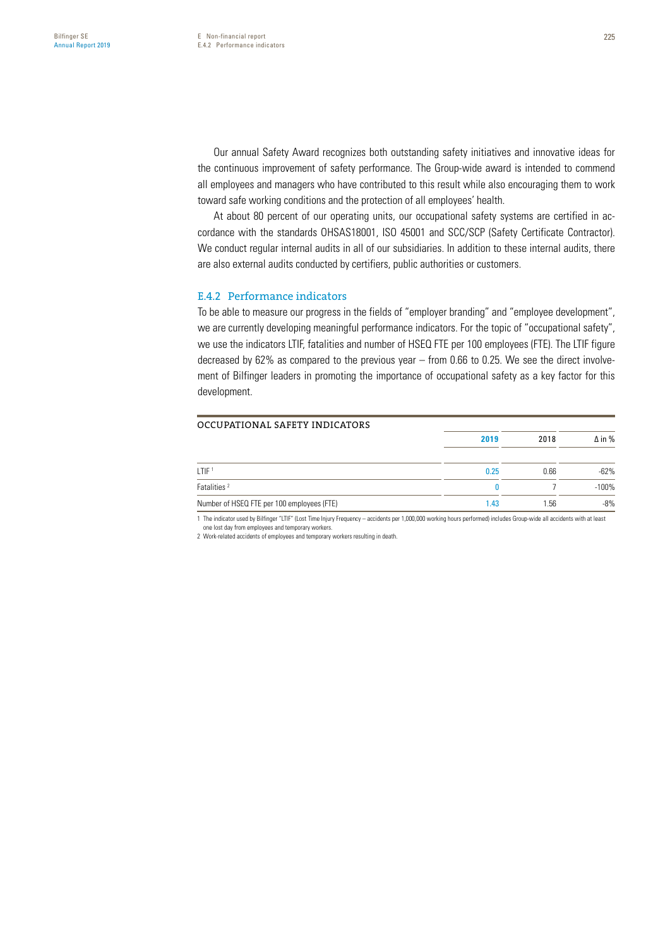Our annual Safety Award recognizes both outstanding safety initiatives and innovative ideas for the continuous improvement of safety performance. The Group-wide award is intended to commend all employees and managers who have contributed to this result while also encouraging them to work toward safe working conditions and the protection of all employees' health.

At about 80 percent of our operating units, our occupational safety systems are certified in accordance with the standards OHSAS18001, ISO 45001 and SCC/SCP (Safety Certificate Contractor). We conduct regular internal audits in all of our subsidiaries. In addition to these internal audits, there are also external audits conducted by certifiers, public authorities or customers.

#### E.4.2 Performance indicators

To be able to measure our progress in the fields of "employer branding" and "employee development", we are currently developing meaningful performance indicators. For the topic of "occupational safety", we use the indicators LTIF, fatalities and number of HSEQ FTE per 100 employees (FTE). The LTIF figure decreased by 62% as compared to the previous year – from 0.66 to 0.25. We see the direct involvement of Bilfinger leaders in promoting the importance of occupational safety as a key factor for this development.

| OCCUPATIONAL SAFETY INDICATORS             |      |      |               |
|--------------------------------------------|------|------|---------------|
|                                            | 2019 | 2018 | $\Delta$ in % |
|                                            |      |      |               |
| LTIF                                       | 0.25 | 0.66 | $-62%$        |
| Fatalities <sup>2</sup>                    |      |      | $-100%$       |
| Number of HSEQ FTE per 100 employees (FTE) | 1.43 | 1.56 | $-8%$         |

1 The indicator used by Bilfinger "LTIF" (Lost Time Injury Frequency – accidents per 1,000,000 working hours performed) includes Group-wide all accidents with at least one lost day from employees and temporary workers.

2 Work-related accidents of employees and temporary workers resulting in death.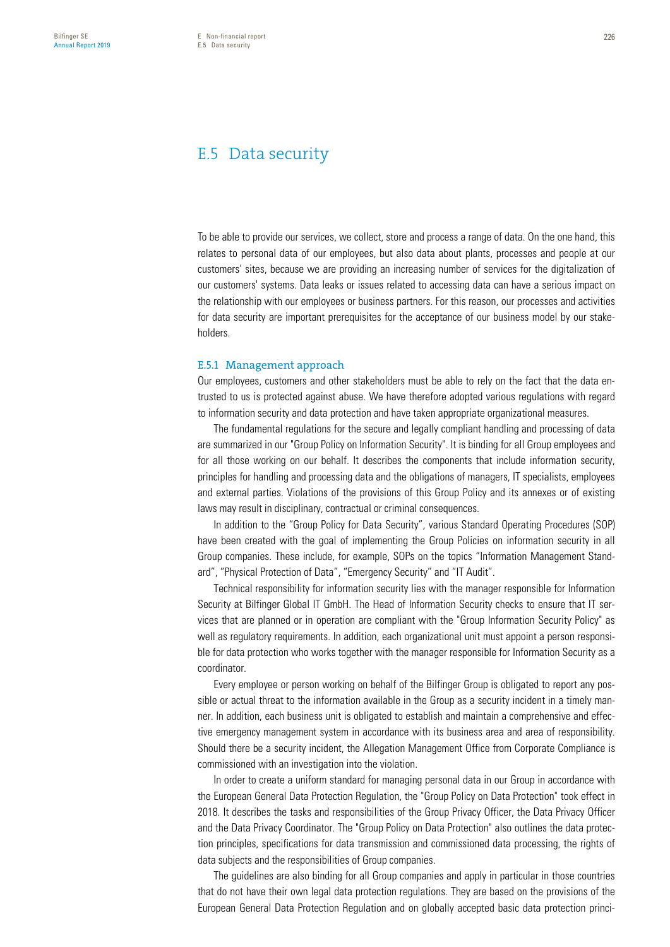### E.5 Data security

To be able to provide our services, we collect, store and process a range of data. On the one hand, this relates to personal data of our employees, but also data about plants, processes and people at our customers' sites, because we are providing an increasing number of services for the digitalization of our customers' systems. Data leaks or issues related to accessing data can have a serious impact on the relationship with our employees or business partners. For this reason, our processes and activities for data security are important prerequisites for the acceptance of our business model by our stakeholders.

#### E.5.1 Management approach

Our employees, customers and other stakeholders must be able to rely on the fact that the data entrusted to us is protected against abuse. We have therefore adopted various regulations with regard to information security and data protection and have taken appropriate organizational measures.

The fundamental regulations for the secure and legally compliant handling and processing of data are summarized in our "Group Policy on Information Security". It is binding for all Group employees and for all those working on our behalf. It describes the components that include information security, principles for handling and processing data and the obligations of managers, IT specialists, employees and external parties. Violations of the provisions of this Group Policy and its annexes or of existing laws may result in disciplinary, contractual or criminal consequences.

In addition to the "Group Policy for Data Security", various Standard Operating Procedures (SOP) have been created with the goal of implementing the Group Policies on information security in all Group companies. These include, for example, SOPs on the topics "Information Management Standard", "Physical Protection of Data", "Emergency Security" and "IT Audit".

Technical responsibility for information security lies with the manager responsible for Information Security at Bilfinger Global IT GmbH. The Head of Information Security checks to ensure that IT services that are planned or in operation are compliant with the "Group Information Security Policy" as well as regulatory requirements. In addition, each organizational unit must appoint a person responsible for data protection who works together with the manager responsible for Information Security as a coordinator.

Every employee or person working on behalf of the Bilfinger Group is obligated to report any possible or actual threat to the information available in the Group as a security incident in a timely manner. In addition, each business unit is obligated to establish and maintain a comprehensive and effective emergency management system in accordance with its business area and area of responsibility. Should there be a security incident, the Allegation Management Office from Corporate Compliance is commissioned with an investigation into the violation.

In order to create a uniform standard for managing personal data in our Group in accordance with the European General Data Protection Regulation, the "Group Policy on Data Protection" took effect in 2018. It describes the tasks and responsibilities of the Group Privacy Officer, the Data Privacy Officer and the Data Privacy Coordinator. The "Group Policy on Data Protection" also outlines the data protection principles, specifications for data transmission and commissioned data processing, the rights of data subjects and the responsibilities of Group companies.

The guidelines are also binding for all Group companies and apply in particular in those countries that do not have their own legal data protection regulations. They are based on the provisions of the European General Data Protection Regulation and on globally accepted basic data protection princi-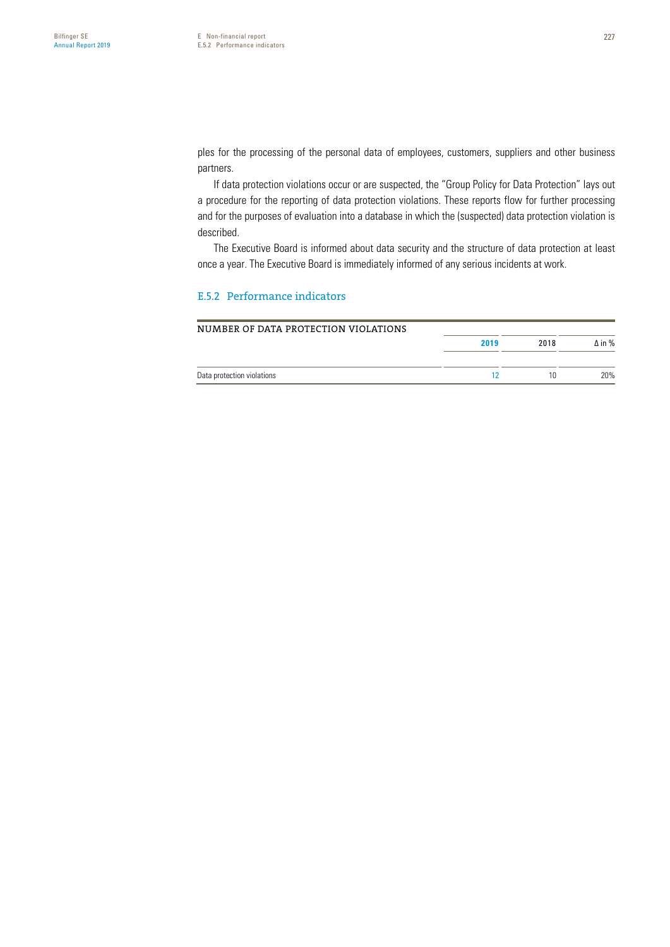ples for the processing of the personal data of employees, customers, suppliers and other business partners.

If data protection violations occur or are suspected, the "Group Policy for Data Protection" lays out a procedure for the reporting of data protection violations. These reports flow for further processing and for the purposes of evaluation into a database in which the (suspected) data protection violation is described.

The Executive Board is informed about data security and the structure of data protection at least once a year. The Executive Board is immediately informed of any serious incidents at work.

#### E.5.2 Performance indicators

| NUMBER OF DATA PROTECTION VIOLATIONS |      |      |               |
|--------------------------------------|------|------|---------------|
|                                      | 2019 | 2018 | $\Delta$ in % |
| Data protection violations           |      | 1Π   | 20%           |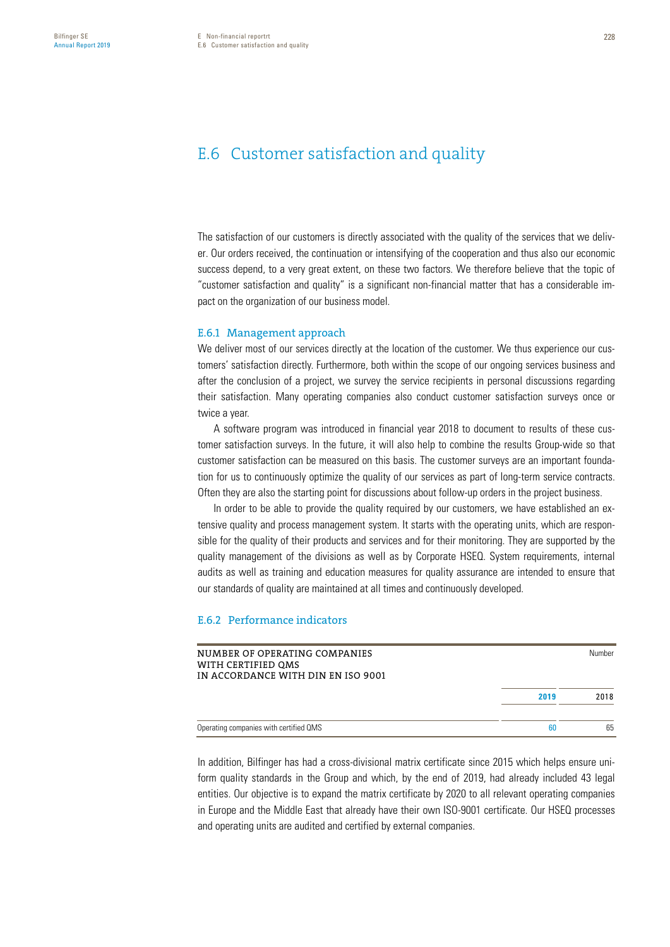# E.6 Customer satisfaction and quality

The satisfaction of our customers is directly associated with the quality of the services that we deliver. Our orders received, the continuation or intensifying of the cooperation and thus also our economic success depend, to a very great extent, on these two factors. We therefore believe that the topic of "customer satisfaction and quality" is a significant non-financial matter that has a considerable impact on the organization of our business model.

#### E.6.1 Management approach

We deliver most of our services directly at the location of the customer. We thus experience our customers' satisfaction directly. Furthermore, both within the scope of our ongoing services business and after the conclusion of a project, we survey the service recipients in personal discussions regarding their satisfaction. Many operating companies also conduct customer satisfaction surveys once or twice a year.

A software program was introduced in financial year 2018 to document to results of these customer satisfaction surveys. In the future, it will also help to combine the results Group-wide so that customer satisfaction can be measured on this basis. The customer surveys are an important foundation for us to continuously optimize the quality of our services as part of long-term service contracts. Often they are also the starting point for discussions about follow-up orders in the project business.

In order to be able to provide the quality required by our customers, we have established an extensive quality and process management system. It starts with the operating units, which are responsible for the quality of their products and services and for their monitoring. They are supported by the quality management of the divisions as well as by Corporate HSEQ. System requirements, internal audits as well as training and education measures for quality assurance are intended to ensure that our standards of quality are maintained at all times and continuously developed.

#### E.6.2 Performance indicators

| NUMBER OF OPERATING COMPANIES<br>WITH CERTIFIED OMS<br>IN ACCORDANCE WITH DIN EN ISO 9001 |      | Number |
|-------------------------------------------------------------------------------------------|------|--------|
|                                                                                           | 2019 | 2018   |
| Operating companies with certified QMS                                                    | 60   | 65     |

In addition, Bilfinger has had a cross-divisional matrix certificate since 2015 which helps ensure uniform quality standards in the Group and which, by the end of 2019, had already included 43 legal entities. Our objective is to expand the matrix certificate by 2020 to all relevant operating companies in Europe and the Middle East that already have their own ISO-9001 certificate. Our HSEQ processes and operating units are audited and certified by external companies.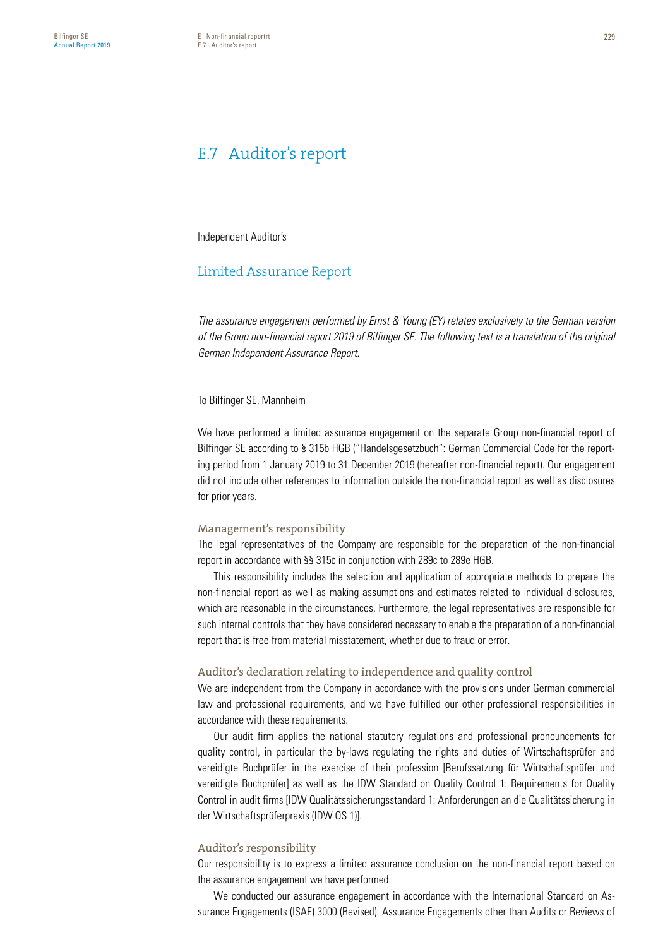### E.7 Auditor's report

Independent Auditor's

#### Limited Assurance Report

*The assurance engagement performed by Ernst & Young (EY) relates exclusively to the German version of the Group non-financial report 2019 of Bilfinger SE. The following text is a translation of the original German Independent Assurance Report.*

#### To Bilfinger SE, Mannheim

We have performed a limited assurance engagement on the separate Group non-financial report of Bilfinger SE according to § 315b HGB ("Handelsgesetzbuch": German Commercial Code for the reporting period from 1 January 2019 to 31 December 2019 (hereafter non-financial report). Our engagement did not include other references to information outside the non-financial report as well as disclosures for prior years.

#### Management's responsibility

The legal representatives of the Company are responsible for the preparation of the non-financial report in accordance with §§ 315c in conjunction with 289c to 289e HGB.

This responsibility includes the selection and application of appropriate methods to prepare the non-financial report as well as making assumptions and estimates related to individual disclosures, which are reasonable in the circumstances. Furthermore, the legal representatives are responsible for such internal controls that they have considered necessary to enable the preparation of a non-financial report that is free from material misstatement, whether due to fraud or error.

#### Auditor's declaration relating to independence and quality control

We are independent from the Company in accordance with the provisions under German commercial law and professional requirements, and we have fulfilled our other professional responsibilities in accordance with these requirements.

Our audit firm applies the national statutory regulations and professional pronouncements for quality control, in particular the by-laws regulating the rights and duties of Wirtschaftsprüfer and vereidigte Buchprüfer in the exercise of their profession [Berufssatzung für Wirtschaftsprüfer und vereidigte Buchprüfer] as well as the IDW Standard on Quality Control 1: Requirements for Quality Control in audit firms [IDW Qualitätssicherungsstandard 1: Anforderungen an die Qualitätssicherung in der Wirtschaftsprüferpraxis (IDW QS 1)].

#### Auditor's responsibility

Our responsibility is to express a limited assurance conclusion on the non-financial report based on the assurance engagement we have performed.

We conducted our assurance engagement in accordance with the International Standard on Assurance Engagements (ISAE) 3000 (Revised): Assurance Engagements other than Audits or Reviews of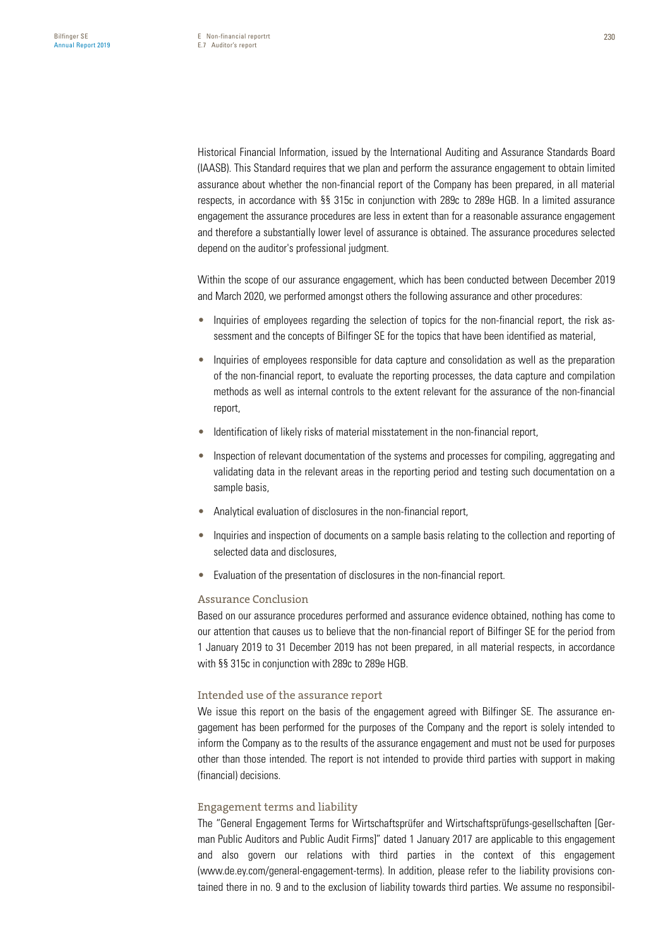Historical Financial Information, issued by the International Auditing and Assurance Standards Board (IAASB). This Standard requires that we plan and perform the assurance engagement to obtain limited assurance about whether the non-financial report of the Company has been prepared, in all material respects, in accordance with §§ 315c in conjunction with 289c to 289e HGB. In a limited assurance engagement the assurance procedures are less in extent than for a reasonable assurance engagement and therefore a substantially lower level of assurance is obtained. The assurance procedures selected depend on the auditor's professional judgment.

Within the scope of our assurance engagement, which has been conducted between December 2019 and March 2020, we performed amongst others the following assurance and other procedures:

- Inquiries of employees regarding the selection of topics for the non-financial report, the risk assessment and the concepts of Bilfinger SE for the topics that have been identified as material,
- Inquiries of employees responsible for data capture and consolidation as well as the preparation of the non-financial report, to evaluate the reporting processes, the data capture and compilation methods as well as internal controls to the extent relevant for the assurance of the non-financial report,
- Identification of likely risks of material misstatement in the non-financial report,
- Inspection of relevant documentation of the systems and processes for compiling, aggregating and validating data in the relevant areas in the reporting period and testing such documentation on a sample basis,
- Analytical evaluation of disclosures in the non-financial report,
- Inquiries and inspection of documents on a sample basis relating to the collection and reporting of selected data and disclosures,
- Evaluation of the presentation of disclosures in the non-financial report.

#### Assurance Conclusion

Based on our assurance procedures performed and assurance evidence obtained, nothing has come to our attention that causes us to believe that the non-financial report of Bilfinger SE for the period from 1 January 2019 to 31 December 2019 has not been prepared, in all material respects, in accordance with §§ 315c in conjunction with 289c to 289e HGB.

#### Intended use of the assurance report

We issue this report on the basis of the engagement agreed with Bilfinger SE. The assurance engagement has been performed for the purposes of the Company and the report is solely intended to inform the Company as to the results of the assurance engagement and must not be used for purposes other than those intended. The report is not intended to provide third parties with support in making (financial) decisions.

#### Engagement terms and liability

The "General Engagement Terms for Wirtschaftsprüfer and Wirtschaftsprüfungs-gesellschaften [German Public Auditors and Public Audit Firms]" dated 1 January 2017 are applicable to this engagement and also govern our relations with third parties in the context of this engagement (www.de.ey.com/general-engagement-terms). In addition, please refer to the liability provisions contained there in no. 9 and to the exclusion of liability towards third parties. We assume no responsibil